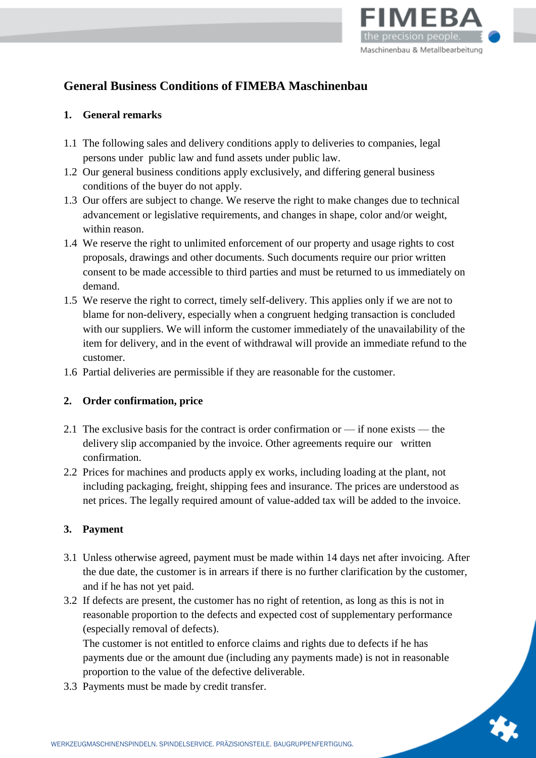

# **General Business Conditions of FIMEBA Maschinenbau**

## **1. General remarks**

- 1.1 The following sales and delivery conditions apply to deliveries to companies, legal persons under public law and fund assets under public law.
- 1.2 Our general business conditions apply exclusively, and differing general business conditions of the buyer do not apply.
- 1.3 Our offers are subject to change. We reserve the right to make changes due to technical advancement or legislative requirements, and changes in shape, color and/or weight, within reason.
- 1.4 We reserve the right to unlimited enforcement of our property and usage rights to cost proposals, drawings and other documents. Such documents require our prior written consent to be made accessible to third parties and must be returned to us immediately on demand.
- 1.5 We reserve the right to correct, timely self-delivery. This applies only if we are not to blame for non-delivery, especially when a congruent hedging transaction is concluded with our suppliers. We will inform the customer immediately of the unavailability of the item for delivery, and in the event of withdrawal will provide an immediate refund to the customer.
- 1.6 Partial deliveries are permissible if they are reasonable for the customer.

# **2. Order confirmation, price**

- 2.1 The exclusive basis for the contract is order confirmation or if none exists the delivery slip accompanied by the invoice. Other agreements require our written confirmation.
- 2.2 Prices for machines and products apply ex works, including loading at the plant, not including packaging, freight, shipping fees and insurance. The prices are understood as net prices. The legally required amount of value-added tax will be added to the invoice.

# **3. Payment**

- 3.1 Unless otherwise agreed, payment must be made within 14 days net after invoicing. After the due date, the customer is in arrears if there is no further clarification by the customer, and if he has not yet paid.
- 3.2 If defects are present, the customer has no right of retention, as long as this is not in reasonable proportion to the defects and expected cost of supplementary performance (especially removal of defects).

The customer is not entitled to enforce claims and rights due to defects if he has payments due or the amount due (including any payments made) is not in reasonable proportion to the value of the defective deliverable.

3.3 Payments must be made by credit transfer.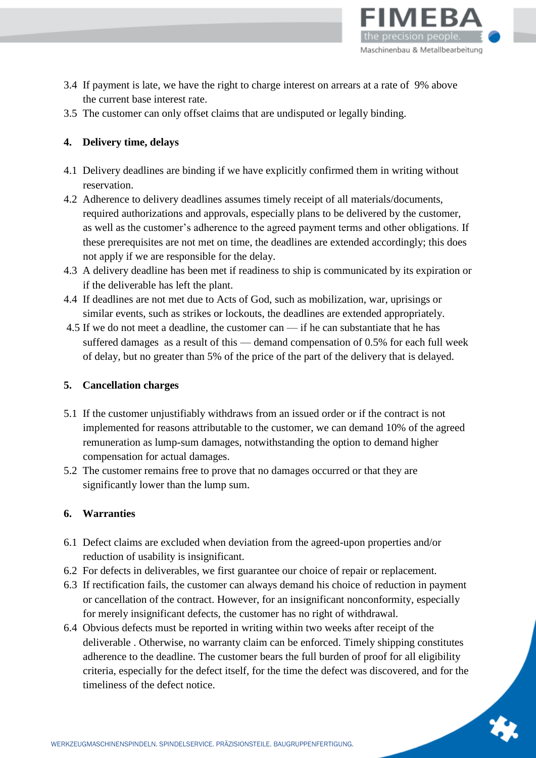

- 3.4 If payment is late, we have the right to charge interest on arrears at a rate of 9% above the current base interest rate.
- 3.5 The customer can only offset claims that are undisputed or legally binding.

# **4. Delivery time, delays**

- 4.1 Delivery deadlines are binding if we have explicitly confirmed them in writing without reservation.
- 4.2 Adherence to delivery deadlines assumes timely receipt of all materials/documents, required authorizations and approvals, especially plans to be delivered by the customer, as well as the customer's adherence to the agreed payment terms and other obligations. If these prerequisites are not met on time, the deadlines are extended accordingly; this does not apply if we are responsible for the delay.
- 4.3 A delivery deadline has been met if readiness to ship is communicated by its expiration or if the deliverable has left the plant.
- 4.4 If deadlines are not met due to Acts of God, such as mobilization, war, uprisings or similar events, such as strikes or lockouts, the deadlines are extended appropriately.
- 4.5 If we do not meet a deadline, the customer can if he can substantiate that he has suffered damages as a result of this — demand compensation of 0.5% for each full week of delay, but no greater than 5% of the price of the part of the delivery that is delayed.

# **5. Cancellation charges**

- 5.1 If the customer unjustifiably withdraws from an issued order or if the contract is not implemented for reasons attributable to the customer, we can demand 10% of the agreed remuneration as lump-sum damages, notwithstanding the option to demand higher compensation for actual damages.
- 5.2 The customer remains free to prove that no damages occurred or that they are significantly lower than the lump sum.

# **6. Warranties**

- 6.1 Defect claims are excluded when deviation from the agreed-upon properties and/or reduction of usability is insignificant.
- 6.2 For defects in deliverables, we first guarantee our choice of repair or replacement.
- 6.3 If rectification fails, the customer can always demand his choice of reduction in payment or cancellation of the contract. However, for an insignificant nonconformity, especially for merely insignificant defects, the customer has no right of withdrawal.
- 6.4 Obvious defects must be reported in writing within two weeks after receipt of the deliverable . Otherwise, no warranty claim can be enforced. Timely shipping constitutes adherence to the deadline. The customer bears the full burden of proof for all eligibility criteria, especially for the defect itself, for the time the defect was discovered, and for the timeliness of the defect notice.